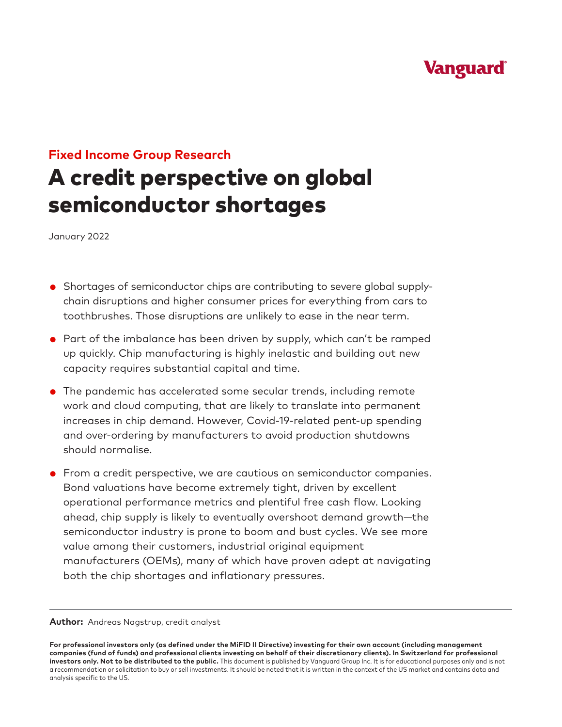# **Vanguard**

# **Fixed Income Group Research**

# A credit perspective on global semiconductor shortages

January 2022

- Shortages of semiconductor chips are contributing to severe global supplychain disruptions and higher consumer prices for everything from cars to toothbrushes. Those disruptions are unlikely to ease in the near term.
- Part of the imbalance has been driven by supply, which can't be ramped up quickly. Chip manufacturing is highly inelastic and building out new capacity requires substantial capital and time.
- The pandemic has accelerated some secular trends, including remote work and cloud computing, that are likely to translate into permanent increases in chip demand. However, Covid-19-related pent-up spending and over-ordering by manufacturers to avoid production shutdowns should normalise.
- From a credit perspective, we are cautious on semiconductor companies. Bond valuations have become extremely tight, driven by excellent operational performance metrics and plentiful free cash flow. Looking ahead, chip supply is likely to eventually overshoot demand growth—the semiconductor industry is prone to boom and bust cycles. We see more value among their customers, industrial original equipment manufacturers (OEMs), many of which have proven adept at navigating both the chip shortages and inflationary pressures.

**Author:** Andreas Nagstrup, credit analyst

**For professional investors only (as defined under the MiFID II Directive) investing for their own account (including management companies (fund of funds) and professional clients investing on behalf of their discretionary clients). In Switzerland for professional investors only. Not to be distributed to the public.** This document is published by Vanguard Group Inc. It is for educational purposes only and is not a recommendation or solicitation to buy or sell investments. It should be noted that it is written in the context of the US market and contains data and analysis specific to the US.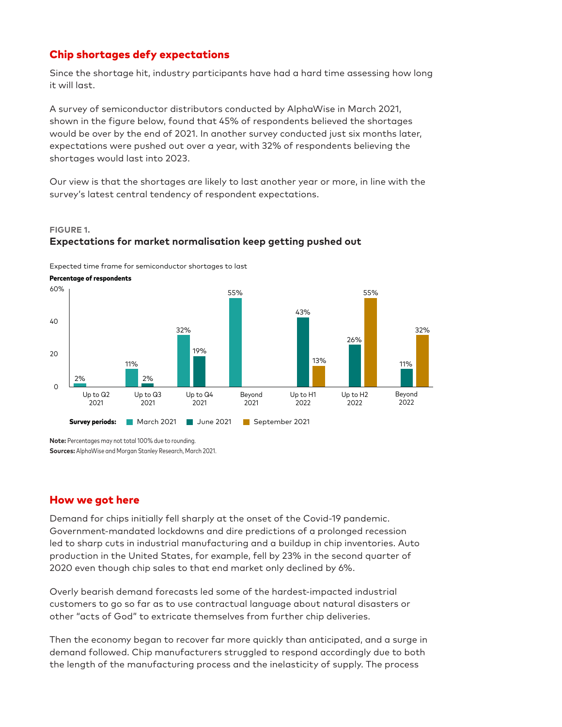# Chip shortages defy expectations

Since the shortage hit, industry participants have had a hard time assessing how long it will last.

A survey of semiconductor distributors conducted by AlphaWise in March 2021, shown in the figure below, found that 45% of respondents believed the shortages would be over by the end of 2021. In another survey conducted just six months later, expectations were pushed out over a year, with 32% of respondents believing the shortages would last into 2023.

Our view is that the shortages are likely to last another year or more, in line with the survey's latest central tendency of respondent expectations.

#### **FIGURE 1.**

## **Expectations for market normalisation keep getting pushed out**

Expected time frame for semiconductor shortages to last



**Note:** Percentages may not total 100% due to rounding. **Sources:** AlphaWise and Morgan Stanley Research, March 2021.

## How we got here

Demand for chips initially fell sharply at the onset of the Covid-19 pandemic. Government-mandated lockdowns and dire predictions of a prolonged recession led to sharp cuts in industrial manufacturing and a buildup in chip inventories. Auto production in the United States, for example, fell by 23% in the second quarter of 2020 even though chip sales to that end market only declined by 6%.

Overly bearish demand forecasts led some of the hardest-impacted industrial customers to go so far as to use contractual language about natural disasters or other "acts of God" to extricate themselves from further chip deliveries.

Then the economy began to recover far more quickly than anticipated, and a surge in demand followed. Chip manufacturers struggled to respond accordingly due to both the length of the manufacturing process and the inelasticity of supply. The process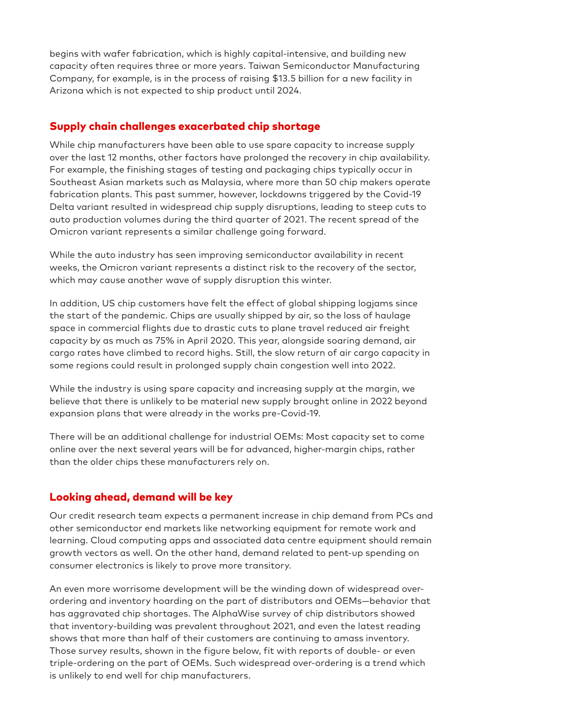begins with wafer fabrication, which is highly capital-intensive, and building new capacity often requires three or more years. Taiwan Semiconductor Manufacturing Company, for example, is in the process of raising \$13.5 billion for a new facility in Arizona which is not expected to ship product until 2024.

# Supply chain challenges exacerbated chip shortage

While chip manufacturers have been able to use spare capacity to increase supply over the last 12 months, other factors have prolonged the recovery in chip availability. For example, the finishing stages of testing and packaging chips typically occur in Southeast Asian markets such as Malaysia, where more than 50 chip makers operate fabrication plants. This past summer, however, lockdowns triggered by the Covid-19 Delta variant resulted in widespread chip supply disruptions, leading to steep cuts to auto production volumes during the third quarter of 2021. The recent spread of the Omicron variant represents a similar challenge going forward.

While the auto industry has seen improving semiconductor availability in recent weeks, the Omicron variant represents a distinct risk to the recovery of the sector, which may cause another wave of supply disruption this winter.

In addition, US chip customers have felt the effect of global shipping logjams since the start of the pandemic. Chips are usually shipped by air, so the loss of haulage space in commercial flights due to drastic cuts to plane travel reduced air freight capacity by as much as 75% in April 2020. This year, alongside soaring demand, air cargo rates have climbed to record highs. Still, the slow return of air cargo capacity in some regions could result in prolonged supply chain congestion well into 2022.

While the industry is using spare capacity and increasing supply at the margin, we believe that there is unlikely to be material new supply brought online in 2022 beyond expansion plans that were already in the works pre-Covid-19.

There will be an additional challenge for industrial OEMs: Most capacity set to come online over the next several years will be for advanced, higher-margin chips, rather than the older chips these manufacturers rely on.

# Looking ahead, demand will be key

Our credit research team expects a permanent increase in chip demand from PCs and other semiconductor end markets like networking equipment for remote work and learning. Cloud computing apps and associated data centre equipment should remain growth vectors as well. On the other hand, demand related to pent-up spending on consumer electronics is likely to prove more transitory.

An even more worrisome development will be the winding down of widespread overordering and inventory hoarding on the part of distributors and OEMs—behavior that has aggravated chip shortages. The AlphaWise survey of chip distributors showed that inventory-building was prevalent throughout 2021, and even the latest reading shows that more than half of their customers are continuing to amass inventory. Those survey results, shown in the figure below, fit with reports of double- or even triple-ordering on the part of OEMs. Such widespread over-ordering is a trend which is unlikely to end well for chip manufacturers.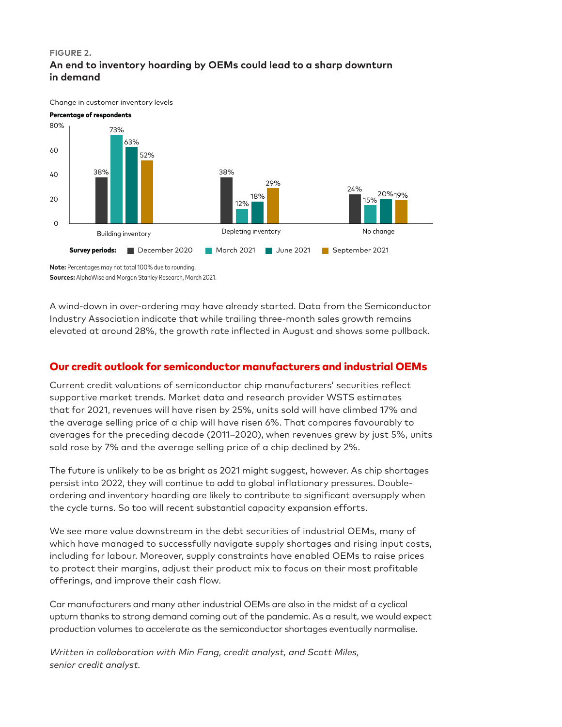#### **FIGURE 2. An end to inventory hoarding by OEMs could lead to a sharp downturn in demand**

Change in customer inventory levels



**Sources:** AlphaWise and Morgan Stanley Research, March 2021.

A wind-down in over-ordering may have already started. Data from the Semiconductor Industry Association indicate that while trailing three-month sales growth remains elevated at around 28%, the growth rate inflected in August and shows some pullback.

# Our credit outlook for semiconductor manufacturers and industrial OEMs

Current credit valuations of semiconductor chip manufacturers' securities reflect supportive market trends. Market data and research provider WSTS estimates that for 2021, revenues will have risen by 25%, units sold will have climbed 17% and the average selling price of a chip will have risen 6%. That compares favourably to averages for the preceding decade (2011–2020), when revenues grew by just 5%, units sold rose by 7% and the average selling price of a chip declined by 2%.

The future is unlikely to be as bright as 2021 might suggest, however. As chip shortages persist into 2022, they will continue to add to global inflationary pressures. Doubleordering and inventory hoarding are likely to contribute to significant oversupply when the cycle turns. So too will recent substantial capacity expansion efforts.

We see more value downstream in the debt securities of industrial OEMs, many of which have managed to successfully navigate supply shortages and rising input costs, including for labour. Moreover, supply constraints have enabled OEMs to raise prices to protect their margins, adjust their product mix to focus on their most profitable offerings, and improve their cash flow.

Car manufacturers and many other industrial OEMs are also in the midst of a cyclical upturn thanks to strong demand coming out of the pandemic. As a result, we would expect production volumes to accelerate as the semiconductor shortages eventually normalise.

*Written in collaboration with Min Fang, credit analyst, and Scott Miles, senior credit analyst.*